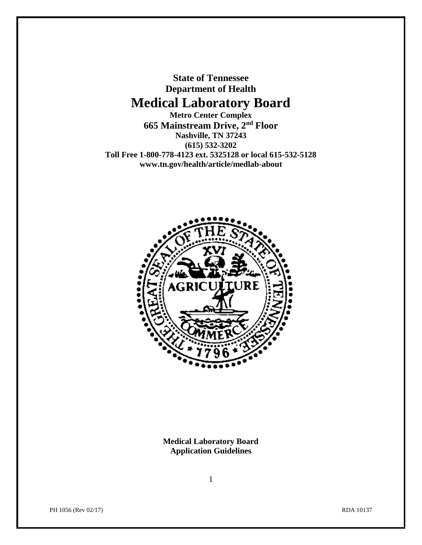**State of Tennessee Department of Health Medical Laboratory Board**

**Metro Center Complex 665 Mainstream Drive, 2nd Floor Nashville, TN 37243 (615) 532-3202 Toll Free 1-800-778-4123 ext. 5325128 or local 615-532-5128 www.tn.gov/health/article/medlab-about**



**Medical Laboratory Board Application Guidelines**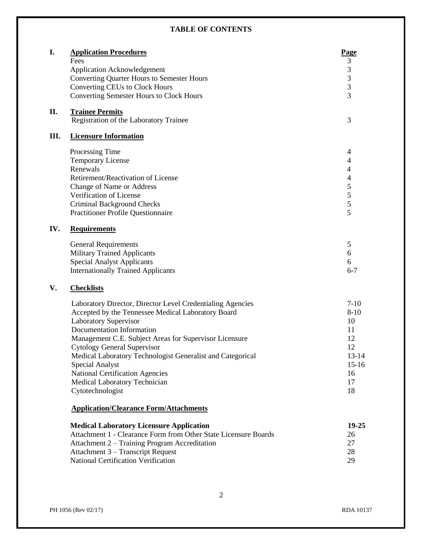### **TABLE OF CONTENTS**

| Fees<br><b>Application Acknowledgement</b><br>Converting Quarter Hours to Semester Hours | 3<br>$\ensuremath{\mathfrak{Z}}$ |
|------------------------------------------------------------------------------------------|----------------------------------|
|                                                                                          |                                  |
|                                                                                          |                                  |
|                                                                                          | $\mathfrak{Z}$                   |
| <b>Converting CEUs to Clock Hours</b>                                                    | 3                                |
| <b>Converting Semester Hours to Clock Hours</b>                                          | 3                                |
| Η.<br><b>Trainee Permits</b>                                                             |                                  |
| Registration of the Laboratory Trainee                                                   | 3                                |
| Ш.<br><b>Licensure Information</b>                                                       |                                  |
| Processing Time                                                                          | 4                                |
| <b>Temporary License</b>                                                                 | 4                                |
| Renewals                                                                                 | $\overline{\mathcal{A}}$         |
| Retirement/Reactivation of License                                                       | $\overline{\mathcal{L}}$         |
| Change of Name or Address                                                                | 5                                |
| Verification of License                                                                  | 5                                |
| <b>Criminal Background Checks</b>                                                        | 5                                |
| <b>Practitioner Profile Questionnaire</b>                                                | 5                                |
| IV.<br><b>Requirements</b>                                                               |                                  |
| <b>General Requirements</b>                                                              | 5                                |
| <b>Military Trained Applicants</b>                                                       | 6                                |
| <b>Special Analyst Applicants</b>                                                        | 6                                |
| <b>Internationally Trained Applicants</b>                                                | $6 - 7$                          |
| V.<br><b>Checklists</b>                                                                  |                                  |
| Laboratory Director, Director Level Credentialing Agencies                               | $7-10$                           |
| Accepted by the Tennessee Medical Laboratory Board                                       | $8 - 10$                         |
| <b>Laboratory Supervisor</b>                                                             | 10                               |
| Documentation Information                                                                | 11                               |
| Management C.E. Subject Areas for Supervisor Licensure                                   | 12                               |
| <b>Cytology General Supervisor</b>                                                       | 12                               |
| Medical Laboratory Technologist Generalist and Categorical                               | $13 - 14$                        |
| <b>Special Analyst</b>                                                                   | $15 - 16$                        |
| <b>National Certification Agencies</b>                                                   | 16                               |
| Medical Laboratory Technician                                                            | 17                               |
| Cytotechnologist                                                                         | 18                               |
| <b>Application/Clearance Form/Attachments</b>                                            |                                  |
| <b>Medical Laboratory Licensure Application</b>                                          | 19-25                            |
| Attachment 1 - Clearance Form from Other State Licensure Boards                          | 26                               |
| Attachment 2 – Training Program Accreditation                                            | 27                               |
| Attachment 3 – Transcript Request                                                        | 28                               |
| <b>National Certification Verification</b>                                               | 29                               |
|                                                                                          |                                  |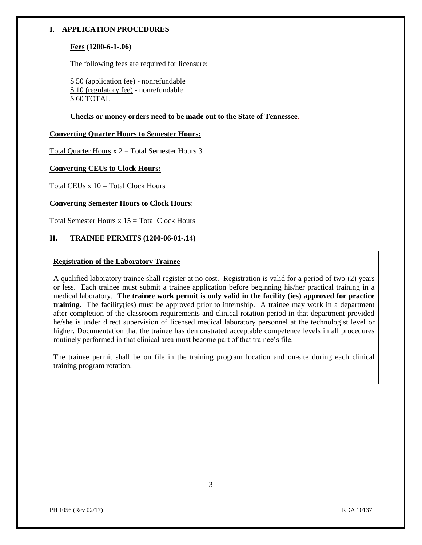#### **I. APPLICATION PROCEDURES**

#### **Fees (1200-6-1-.06)**

The following fees are required for licensure:

\$ 50 (application fee) - nonrefundable \$ 10 (regulatory fee) - nonrefundable  $$60$  TOTAL

**Checks or money orders need to be made out to the State of Tennessee.**

#### **Converting Quarter Hours to Semester Hours:**

Total Quarter Hours  $x 2 = Total$  Semester Hours 3

#### **Converting CEUs to Clock Hours:**

Total CEUs  $x 10 =$ Total Clock Hours

#### **Converting Semester Hours to Clock Hours**:

Total Semester Hours  $x 15$  = Total Clock Hours

#### **II. TRAINEE PERMITS (1200-06-01-.14)**

#### **Registration of the Laboratory Trainee**

A qualified laboratory trainee shall register at no cost. Registration is valid for a period of two (2) years or less. Each trainee must submit a trainee application before beginning his/her practical training in a medical laboratory. **The trainee work permit is only valid in the facility (ies) approved for practice training.** The facility(ies) must be approved prior to internship. A trainee may work in a department after completion of the classroom requirements and clinical rotation period in that department provided he/she is under direct supervision of licensed medical laboratory personnel at the technologist level or higher. Documentation that the trainee has demonstrated acceptable competence levels in all procedures routinely performed in that clinical area must become part of that trainee's file.

The trainee permit shall be on file in the training program location and on-site during each clinical training program rotation.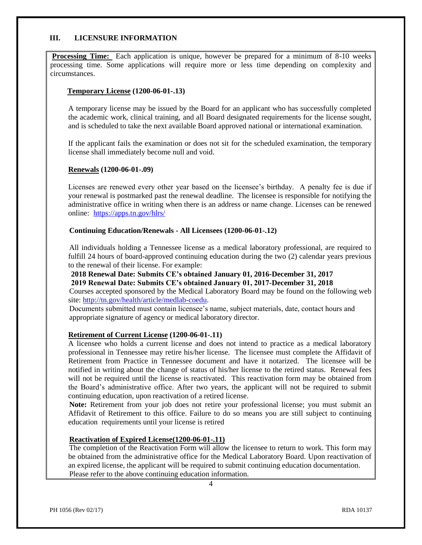#### **III. LICENSURE INFORMATION**

**Processing Time:** Each application is unique, however be prepared for a minimum of 8-10 weeks processing time. Some applications will require more or less time depending on complexity and circumstances.

#### **Temporary License (1200-06-01-.13)**

A temporary license may be issued by the Board for an applicant who has successfully completed the academic work, clinical training, and all Board designated requirements for the license sought, and is scheduled to take the next available Board approved national or international examination.

If the applicant fails the examination or does not sit for the scheduled examination, the temporary license shall immediately become null and void.

#### **Renewals (1200-06-01-.09)**

Licenses are renewed every other year based on the licensee's birthday. A penalty fee is due if your renewal is postmarked past the renewal deadline. The licensee is responsible for notifying the administrative office in writing when there is an address or name change. Licenses can be renewed online: <https://apps.tn.gov/hlrs/>

#### **Continuing Education/Renewals - All Licensees (1200-06-01-.12)**

All individuals holding a Tennessee license as a medical laboratory professional, are required to fulfill 24 hours of board-approved continuing education during the two (2) calendar years previous to the renewal of their license. For example:

#### **2018 Renewal Date: Submits CE's obtained January 01, 2016-December 31, 2017 2019 Renewal Date: Submits CE's obtained January 01, 2017-December 31, 2018**

 Courses accepted sponsored by the Medical Laboratory Board may be found on the following web site: [http://tn.gov/health/article/medlab-coedu.](http://tn.gov/health/article/medlab-coedu)

 Documents submitted must contain licensee's name, subject materials, date, contact hours and appropriate signature of agency or medical laboratory director.

#### **Retirement of Current License (1200-06-01-.11)**

A licensee who holds a current license and does not intend to practice as a medical laboratory professional in Tennessee may retire his/her license. The licensee must complete the Affidavit of Retirement from Practice in Tennessee document and have it notarized. The licensee will be notified in writing about the change of status of his/her license to the retired status. Renewal fees will not be required until the license is reactivated. This reactivation form may be obtained from the Board's administrative office. After two years, the applicant will not be required to submit continuing education, upon reactivation of a retired license.

 **Note:** Retirement from your job does not retire your professional license; you must submit an Affidavit of Retirement to this office. Failure to do so means you are still subject to continuing education requirements until your license is retired

#### **Reactivation of Expired License(1200-06-01-.11)**

 The completion of the Reactivation Form will allow the licensee to return to work. This form may be obtained from the administrative office for the Medical Laboratory Board. Upon reactivation of an expired license, the applicant will be required to submit continuing education documentation. Please refer to the above continuing education information.

4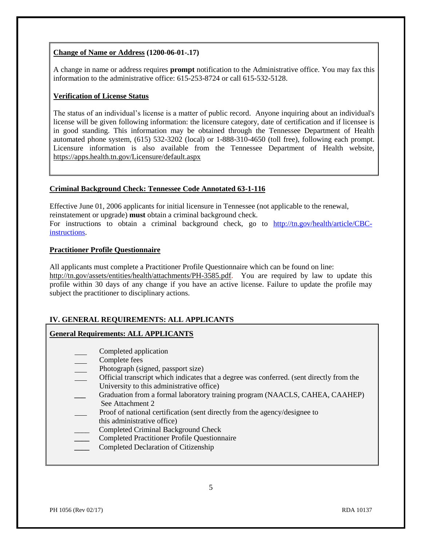#### **Change of Name or Address (1200-06-01-.17)**

A change in name or address requires **prompt** notification to the Administrative office. You may fax this information to the administrative office: 615-253-8724 or call 615-532-5128.

#### **Verification of License Status**

The status of an individual's license is a matter of public record. Anyone inquiring about an individual's license will be given following information: the licensure category, date of certification and if licensee is in good standing. This information may be obtained through the Tennessee Department of Health automated phone system, (615) 532-3202 (local) or 1-888-310-4650 (toll free), following each prompt. Licensure information is also available from the Tennessee Department of Health website, <https://apps.health.tn.gov/Licensure/default.aspx>

#### **Criminal Background Check: Tennessee Code Annotated 63-1-116**

Effective June 01, 2006 applicants for initial licensure in Tennessee (not applicable to the renewal, reinstatement or upgrade) **must** obtain a criminal background check. For instructions to obtain a criminal background check, go to [http://tn.gov/health/article/CBC](http://tn.gov/health/article/CBC-instructions)[instructions.](http://tn.gov/health/article/CBC-instructions)

#### **Practitioner Profile Questionnaire**

All applicants must complete a Practitioner Profile Questionnaire which can be found on line: [http://tn.gov/assets/entities/health/attachments/PH-3585.pdf.](http://tn.gov/assets/entities/health/attachments/PH-3585.pdf) You are required by law to update this profile within 30 days of any change if you have an active license. Failure to update the profile may subject the practitioner to disciplinary actions.

#### **IV. GENERAL REQUIREMENTS: ALL APPLICANTS**

#### **General Requirements: ALL APPLICANTS**

- Completed application
- Complete fees
- Photograph (signed, passport size)
- Official transcript which indicates that a degree was conferred. (sent directly from the University to this administrative office)
- Graduation from a formal laboratory training program (NAACLS, CAHEA, CAAHEP) See Attachment 2
- Proof of national certification (sent directly from the agency/designee to
- this administrative office)
- \_\_\_\_ Completed Criminal Background Check
- **Completed Practitioner Profile Questionnaire**
- **\_\_\_\_** Completed Declaration of Citizenship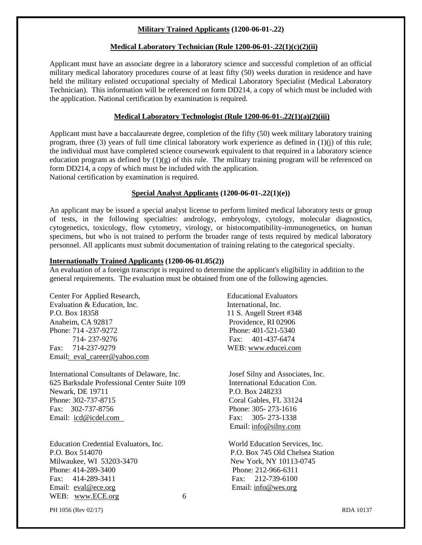#### **Military Trained Applicants (1200-06-01-.22)**

#### **Medical Laboratory Technician (Rule 1200-06-01-.22(1)(c)(2)(ii)**

Applicant must have an associate degree in a laboratory science and successful completion of an official military medical laboratory procedures course of at least fifty (50) weeks duration in residence and have held the military enlisted occupational specialty of Medical Laboratory Specialist (Medical Laboratory Technician). This information will be referenced on form DD214, a copy of which must be included with the application. National certification by examination is required.

#### **Medical Laboratory Technologist (Rule 1200-06-01-.22(1)(a)(2)(iii)**

Applicant must have a baccalaureate degree, completion of the fifty (50) week military laboratory training program, three (3) years of full time clinical laboratory work experience as defined in (1)(j) of this rule; the individual must have completed science coursework equivalent to that required in a laboratory science education program as defined by  $(1)(g)$  of this rule. The military training program will be referenced on form DD214, a copy of which must be included with the application. National certification by examination is required.

**Special Analyst Applicants (1200-06-01-.22(1)(e))**

An applicant may be issued a special analyst license to perform limited medical laboratory tests or group of tests, in the following specialties: andrology, embryology, cytology, molecular diagnostics, cytogenetics, toxicology, flow cytometry, virology, or histocompatibility-immunogenetics, on human specimens, but who is not trained to perform the broader range of tests required by medical laboratory personnel. All applicants must submit documentation of training relating to the categorical specialty.

#### **Internationally Trained Applicants (1200-06-01.05(2))**

An evaluation of a foreign transcript is required to determine the applicant's eligibility in addition to the general requirements. The evaluation must be obtained from one of the following agencies.

Center For Applied Research, Educational Evaluators Evaluation & Education, Inc. The International, Inc. P.O. Box 18358 11 S. Angell Street #348 Anaheim, CA 92817 Providence, RI 02906 Phone: 714 -237-9272 Phone: 401-521-5340 714- 237-9276 Fax: 401-437-6474 Fax: 714-237-9279 WEB: www.educei.com Email: eval career@yahoo.com

International Consultants of Delaware, Inc. Josef Silny and Associates, Inc. 625 Barksdale Professional Center Suite 109 International Education Con. Newark, DE 19711 P.O. Box 248233 Phone: 302-737-8715 Coral Gables, FL 33124 Fax: 302-737-8756 Phone: 305- 273-1616 Email: icd@icdel.com Fax: 305- 273-1338

Education Credential Evaluators, Inc. World Education Services, Inc. P.O. Box 514070 P.O. Box 745 Old Chelsea Station Milwaukee, WI 53203-3470 New York, NY 10113-0745 Phone: 414-289-3400 Phone: 212-966-6311 Fax: 414-289-3411 Fax: 212-739-6100 Email: eval@ece.org Email: info@wes.org Email: info@wes.org WEB: www.ECE.org 6

Email: info@silny.com

PH 1056 (Rev 02/17) RDA 10137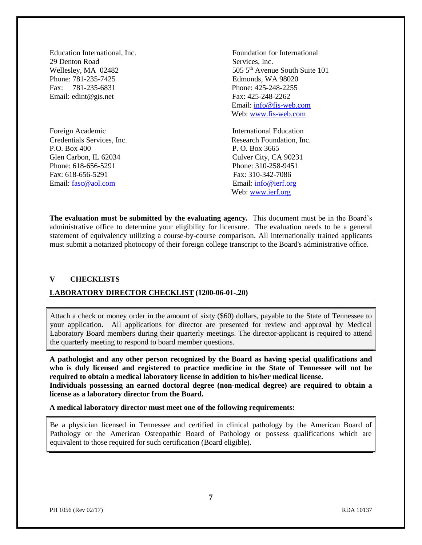29 Denton Road Services, Inc. Phone: 781-235-7425 Edmonds, WA 98020 Fax: 781-235-6831 Phone: 425-248-2255 Email: edint@gis.net Fax: 425-248-2262

Foreign Academic **International Education** P.O. Box 400 P.O. Box 3665 Glen Carbon, IL 62034 Culver City, CA 90231 Phone: 618-656-5291 Phone: 310-258-9451 Fax: 618-656-5291 Fax: 310-342-7086 Email: [fasc@aol.com](mailto:fasc@aol.com) Email: [info@ierf.org](mailto:info@ierf.org)

Education International, Inc. Foundation for International Wellesley, MA 02482 505 5<sup>th</sup> Avenue South Suite 101 Email: [info@fis-web.com](mailto:info@fis-web.com) Web: [www.fis-web.com](http://www.fis-web.com/)

Credentials Services, Inc. Research Foundation, Inc. Web: [www.ierf.org](http://www.ierf.org/)

**The evaluation must be submitted by the evaluating agency.** This document must be in the Board's administrative office to determine your eligibility for licensure. The evaluation needs to be a general statement of equivalency utilizing a course-by-course comparison. All internationally trained applicants must submit a notarized photocopy of their foreign college transcript to the Board's administrative office.

#### **V CHECKLISTS**

#### **LABORATORY DIRECTOR CHECKLIST (1200-06-01-.20)**

Attach a check or money order in the amount of sixty (\$60) dollars, payable to the State of Tennessee to your application. All applications for director are presented for review and approval by Medical Laboratory Board members during their quarterly meetings. The director-applicant is required to attend the quarterly meeting to respond to board member questions.

**A pathologist and any other person recognized by the Board as having special qualifications and who is duly licensed and registered to practice medicine in the State of Tennessee will not be required to obtain a medical laboratory license in addition to his/her medical license. Individuals possessing an earned doctoral degree (non-medical degree) are required to obtain a license as a laboratory director from the Board.**

**A medical laboratory director must meet one of the following requirements:**

Be a physician licensed in Tennessee and certified in clinical pathology by the American Board of Pathology or the American Osteopathic Board of Pathology or possess qualifications which are equivalent to those required for such certification (Board eligible).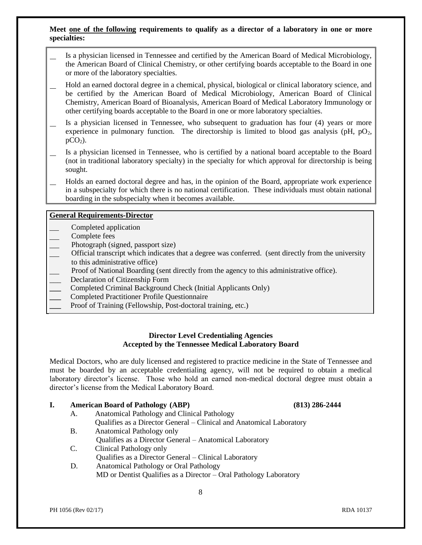#### **Meet one of the following requirements to qualify as a director of a laboratory in one or more specialties:**

- Is a physician licensed in Tennessee and certified by the American Board of Medical Microbiology, the American Board of Clinical Chemistry, or other certifying boards acceptable to the Board in one or more of the laboratory specialties.
- Hold an earned doctoral degree in a chemical, physical, biological or clinical laboratory science, and be certified by the American Board of Medical Microbiology, American Board of Clinical Chemistry, American Board of Bioanalysis, American Board of Medical Laboratory Immunology or other certifying boards acceptable to the Board in one or more laboratory specialties.
- Is a physician licensed in Tennessee, who subsequent to graduation has four (4) years or more experience in pulmonary function. The directorship is limited to blood gas analysis (pH,  $pO<sub>2</sub>$ ,  $pCO<sub>2</sub>$ ).
- Is a physician licensed in Tennessee, who is certified by a national board acceptable to the Board (not in traditional laboratory specialty) in the specialty for which approval for directorship is being sought.
- Holds an earned doctoral degree and has, in the opinion of the Board, appropriate work experience in a subspecialty for which there is no national certification. These individuals must obtain national boarding in the subspecialty when it becomes available.

#### **General Requirements-Director**

- Completed application
- Complete fees
- Photograph (signed, passport size)
- Official transcript which indicates that a degree was conferred. (sent directly from the university to this administrative office)
- Proof of National Boarding (sent directly from the agency to this administrative office).
- \_\_\_ Declaration of Citizenship Form
- **\_\_\_** Completed Criminal Background Check (Initial Applicants Only)
- **\_\_\_** Completed Practitioner Profile Questionnaire
- **\_\_\_** Proof of Training (Fellowship, Post-doctoral training, etc.)

#### **Director Level Credentialing Agencies Accepted by the Tennessee Medical Laboratory Board**

Medical Doctors, who are duly licensed and registered to practice medicine in the State of Tennessee and must be boarded by an acceptable credentialing agency, will not be required to obtain a medical laboratory director's license. Those who hold an earned non-medical doctoral degree must obtain a director's license from the Medical Laboratory Board.

#### **I. American Board of Pathology (ABP) (813) 286-2444**

- A. Anatomical Pathology and Clinical Pathology Qualifies as a Director General – Clinical and Anatomical Laboratory
- B. Anatomical Pathology only Qualifies as a Director General – Anatomical Laboratory
- C. Clinical Pathology only Qualifies as a Director General – Clinical Laboratory
- D. Anatomical Pathology or Oral Pathology MD or Dentist Qualifies as a Director – Oral Pathology Laboratory

#### PH 1056 (Rev 02/17) RDA 10137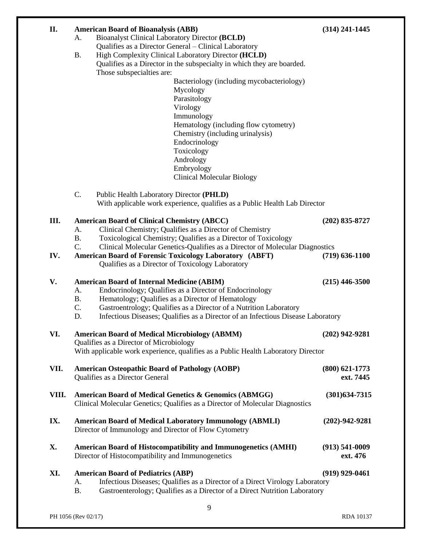| II.   | <b>American Board of Bioanalysis (ABB)</b><br><b>Bioanalyst Clinical Laboratory Director (BCLD)</b><br>А.                       | $(314)$ 241-1445     |
|-------|---------------------------------------------------------------------------------------------------------------------------------|----------------------|
|       | Qualifies as a Director General - Clinical Laboratory                                                                           |                      |
|       | High Complexity Clinical Laboratory Director (HCLD)<br><b>B.</b>                                                                |                      |
|       | Qualifies as a Director in the subspecialty in which they are boarded.<br>Those subspecialties are:                             |                      |
|       | Bacteriology (including mycobacteriology)                                                                                       |                      |
|       | Mycology                                                                                                                        |                      |
|       | Parasitology                                                                                                                    |                      |
|       | Virology                                                                                                                        |                      |
|       | Immunology<br>Hematology (including flow cytometry)                                                                             |                      |
|       | Chemistry (including urinalysis)                                                                                                |                      |
|       | Endocrinology                                                                                                                   |                      |
|       | Toxicology                                                                                                                      |                      |
|       | Andrology                                                                                                                       |                      |
|       | Embryology                                                                                                                      |                      |
|       | <b>Clinical Molecular Biology</b>                                                                                               |                      |
|       | C.<br>Public Health Laboratory Director (PHLD)                                                                                  |                      |
|       | With applicable work experience, qualifies as a Public Health Lab Director                                                      |                      |
| Ш.    | <b>American Board of Clinical Chemistry (ABCC)</b>                                                                              | $(202)$ 835-8727     |
|       | Clinical Chemistry; Qualifies as a Director of Chemistry<br>A.                                                                  |                      |
|       | Toxicological Chemistry; Qualifies as a Director of Toxicology<br><b>B.</b>                                                     |                      |
|       | C.<br>Clinical Molecular Genetics-Qualifies as a Director of Molecular Diagnostics                                              |                      |
| IV.   | <b>American Board of Forensic Toxicology Laboratory (ABFT)</b>                                                                  | $(719) 636 - 1100$   |
|       | Qualifies as a Director of Toxicology Laboratory                                                                                |                      |
| V.    | <b>American Board of Internal Medicine (ABIM)</b>                                                                               | $(215)$ 446-3500     |
|       | Endocrinology; Qualifies as a Director of Endocrinology<br>A.                                                                   |                      |
|       | <b>B.</b><br>Hematology; Qualifies as a Director of Hematology                                                                  |                      |
|       | C.<br>Gastroentrology; Qualifies as a Director of a Nutrition Laboratory                                                        |                      |
|       | D.<br>Infectious Diseases; Qualifies as a Director of an Infectious Disease Laboratory                                          |                      |
| VI.   | <b>American Board of Medical Microbiology (ABMM)</b>                                                                            | $(202)$ 942-9281     |
|       | Qualifies as a Director of Microbiology                                                                                         |                      |
|       | With applicable work experience, qualifies as a Public Health Laboratory Director                                               |                      |
| VII.  | <b>American Osteopathic Board of Pathology (AOBP)</b>                                                                           | $(800)$ 621-1773     |
|       | Qualifies as a Director General                                                                                                 | ext. 7445            |
| VIII. | American Board of Medical Genetics & Genomics (ABMGG)                                                                           | $(301)$ 634-7315     |
|       | Clinical Molecular Genetics; Qualifies as a Director of Molecular Diagnostics                                                   |                      |
|       |                                                                                                                                 |                      |
| IX.   | <b>American Board of Medical Laboratory Immunology (ABMLI)</b>                                                                  | $(202) - 942 - 9281$ |
|       | Director of Immunology and Director of Flow Cytometry                                                                           |                      |
| X.    | <b>American Board of Histocompatibility and Immunogenetics (AMHI)</b>                                                           | $(913) 541 - 0009$   |
|       | Director of Histocompatibility and Immunogenetics                                                                               | ext. 476             |
|       |                                                                                                                                 |                      |
| XI.   | <b>American Board of Pediatrics (ABP)</b><br>Infectious Diseases; Qualifies as a Director of a Direct Virology Laboratory<br>A. | $(919)$ 929-0461     |
|       | <b>B.</b><br>Gastroenterology; Qualifies as a Director of a Direct Nutrition Laboratory                                         |                      |
|       |                                                                                                                                 |                      |
|       | 9                                                                                                                               |                      |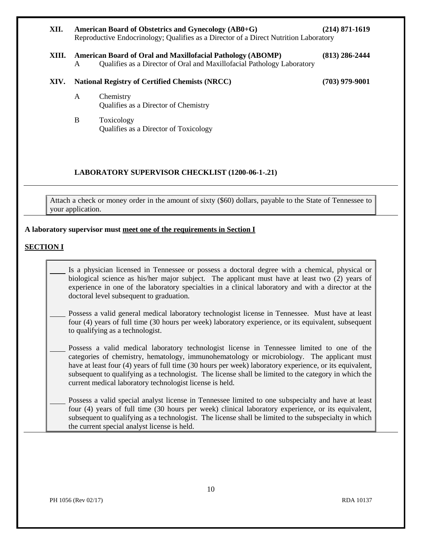| XII.  | American Board of Obstetrics and Gynecology (AB0+G)<br>(214) 871-1619<br>Reproductive Endocrinology; Qualifies as a Director of a Direct Nutrition Laboratory |                                                                                                                                             |                  |  |
|-------|---------------------------------------------------------------------------------------------------------------------------------------------------------------|---------------------------------------------------------------------------------------------------------------------------------------------|------------------|--|
| XIII. | A                                                                                                                                                             | <b>American Board of Oral and Maxillofacial Pathology (ABOMP)</b><br>Qualifies as a Director of Oral and Maxillofacial Pathology Laboratory | $(813)$ 286-2444 |  |
| XIV.  |                                                                                                                                                               | <b>National Registry of Certified Chemists (NRCC)</b>                                                                                       | (703) 979-9001   |  |
|       | A                                                                                                                                                             | Chemistry<br>Qualifies as a Director of Chemistry                                                                                           |                  |  |
|       | B                                                                                                                                                             | Toxicology<br>Qualifies as a Director of Toxicology                                                                                         |                  |  |

### **LABORATORY SUPERVISOR CHECKLIST (1200-06-1-.21)**

Attach a check or money order in the amount of sixty (\$60) dollars, payable to the State of Tennessee to your application.

#### **A laboratory supervisor must meet one of the requirements in Section I**

#### **SECTION I**

Is a physician licensed in Tennessee or possess a doctoral degree with a chemical, physical or biological science as his/her major subject. The applicant must have at least two (2) years of experience in one of the laboratory specialties in a clinical laboratory and with a director at the doctoral level subsequent to graduation.

Possess a valid general medical laboratory technologist license in Tennessee. Must have at least four (4) years of full time (30 hours per week) laboratory experience, or its equivalent, subsequent to qualifying as a technologist.

Possess a valid medical laboratory technologist license in Tennessee limited to one of the categories of chemistry, hematology, immunohematology or microbiology. The applicant must have at least four (4) years of full time (30 hours per week) laboratory experience, or its equivalent, subsequent to qualifying as a technologist. The license shall be limited to the category in which the current medical laboratory technologist license is held.

Possess a valid special analyst license in Tennessee limited to one subspecialty and have at least four (4) years of full time (30 hours per week) clinical laboratory experience, or its equivalent, subsequent to qualifying as a technologist. The license shall be limited to the subspecialty in which the current special analyst license is held.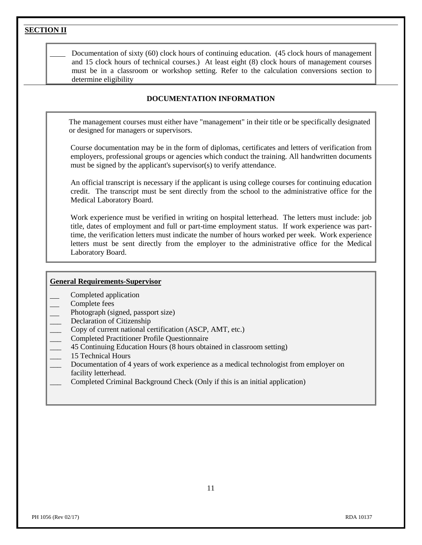**SECTION II** Documentation of sixty (60) clock hours of continuing education. (45 clock hours of management and 15 clock hours of technical courses.) At least eight (8) clock hours of management courses must be in a classroom or workshop setting. Refer to the calculation conversions section to determine eligibility **DOCUMENTATION INFORMATION** The management courses must either have "management" in their title or be specifically designated or designed for managers or supervisors. Course documentation may be in the form of diplomas, certificates and letters of verification from employers, professional groups or agencies which conduct the training. All handwritten documents must be signed by the applicant's supervisor(s) to verify attendance. An official transcript is necessary if the applicant is using college courses for continuing education credit. The transcript must be sent directly from the school to the administrative office for the Medical Laboratory Board. Work experience must be verified in writing on hospital letterhead. The letters must include: job title, dates of employment and full or part-time employment status. If work experience was parttime, the verification letters must indicate the number of hours worked per week. Work experience letters must be sent directly from the employer to the administrative office for the Medical Laboratory Board. **General Requirements-Supervisor** Completed application Complete fees Photograph (signed, passport size) Declaration of Citizenship \_\_\_ Copy of current national certification (ASCP, AMT, etc.) \_\_\_ Completed Practitioner Profile Questionnaire

- \_\_\_ 45 Continuing Education Hours (8 hours obtained in classroom setting)
- 15 Technical Hours
- Documentation of 4 years of work experience as a medical technologist from employer on facility letterhead.
- Completed Criminal Background Check (Only if this is an initial application)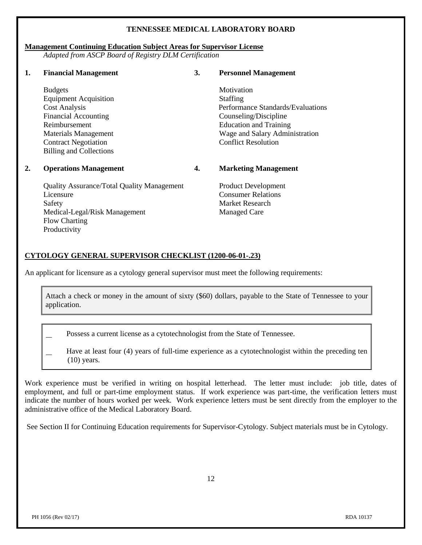#### **TENNESSEE MEDICAL LABORATORY BOARD**

#### **Management Continuing Education Subject Areas for Supervisor License**

*Adapted from ASCP Board of Registry DLM Certification*

| 1. | <b>Financial Management</b>                       | 3. | <b>Personnel Management</b>       |
|----|---------------------------------------------------|----|-----------------------------------|
|    | <b>Budgets</b>                                    |    | Motivation                        |
|    | <b>Equipment Acquisition</b>                      |    | Staffing                          |
|    | <b>Cost Analysis</b>                              |    | Performance Standards/Evaluations |
|    | <b>Financial Accounting</b>                       |    | Counseling/Discipline             |
|    | Reimbursement                                     |    | <b>Education and Training</b>     |
|    | <b>Materials Management</b>                       |    | Wage and Salary Administration    |
|    | <b>Contract Negotiation</b>                       |    | <b>Conflict Resolution</b>        |
|    | <b>Billing and Collections</b>                    |    |                                   |
| 2. | <b>Operations Management</b>                      | 4. | <b>Marketing Management</b>       |
|    | <b>Quality Assurance/Total Quality Management</b> |    | <b>Product Development</b>        |
|    | Licensure                                         |    | <b>Consumer Relations</b>         |
|    | Safety                                            |    | Market Research                   |
|    | Medical-Legal/Risk Management                     |    | <b>Managed Care</b>               |
|    | <b>Flow Charting</b>                              |    |                                   |
|    | Productivity                                      |    |                                   |

#### **CYTOLOGY GENERAL SUPERVISOR CHECKLIST (1200-06-01-.23)**

An applicant for licensure as a cytology general supervisor must meet the following requirements:

Attach a check or money in the amount of sixty (\$60) dollars, payable to the State of Tennessee to your application.

Possess a current license as a cytotechnologist from the State of Tennessee.

Have at least four (4) years of full-time experience as a cytotechnologist within the preceding ten (10) years.

Work experience must be verified in writing on hospital letterhead. The letter must include: job title, dates of employment, and full or part-time employment status. If work experience was part-time, the verification letters must indicate the number of hours worked per week. Work experience letters must be sent directly from the employer to the administrative office of the Medical Laboratory Board.

See Section II for Continuing Education requirements for Supervisor-Cytology. Subject materials must be in Cytology.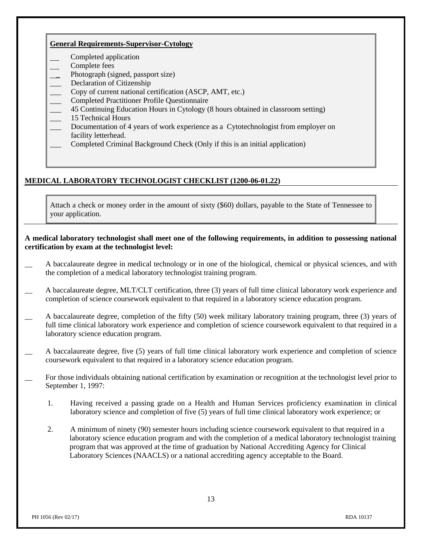#### **General Requirements-Supervisor-Cytology**

- Completed application
- Complete fees
- Photograph (signed, passport size)
- Declaration of Citizenship
- \_\_\_ Copy of current national certification (ASCP, AMT, etc.)
- \_\_\_ Completed Practitioner Profile Questionnaire
- \_\_\_ 45 Continuing Education Hours in Cytology (8 hours obtained in classroom setting)
- \_\_\_ 15 Technical Hours
- Documentation of 4 years of work experience as a Cytotechnologist from employer on facility letterhead.
- Completed Criminal Background Check (Only if this is an initial application)

#### **MEDICAL LABORATORY TECHNOLOGIST CHECKLIST (1200-06-01.22)**

Attach a check or money order in the amount of sixty (\$60) dollars, payable to the State of Tennessee to your application.

#### **A medical laboratory technologist shall meet one of the following requirements, in addition to possessing national certification by exam at the technologist level:**

- \_\_ A baccalaureate degree in medical technology or in one of the biological, chemical or physical sciences, and with the completion of a medical laboratory technologist training program.
- A baccalaureate degree, MLT/CLT certification, three (3) years of full time clinical laboratory work experience and completion of science coursework equivalent to that required in a laboratory science education program.
- \_\_ A baccalaureate degree, completion of the fifty (50) week military laboratory training program, three (3) years of full time clinical laboratory work experience and completion of science coursework equivalent to that required in a laboratory science education program.
- \_\_ A baccalaureate degree, five (5) years of full time clinical laboratory work experience and completion of science coursework equivalent to that required in a laboratory science education program.
- \_\_ For those individuals obtaining national certification by examination or recognition at the technologist level prior to September 1, 1997:
	- 1. Having received a passing grade on a Health and Human Services proficiency examination in clinical laboratory science and completion of five (5) years of full time clinical laboratory work experience; or
	- 2. A minimum of ninety (90) semester hours including science coursework equivalent to that required in a laboratory science education program and with the completion of a medical laboratory technologist training program that was approved at the time of graduation by National Accrediting Agency for Clinical Laboratory Sciences (NAACLS) or a national accrediting agency acceptable to the Board.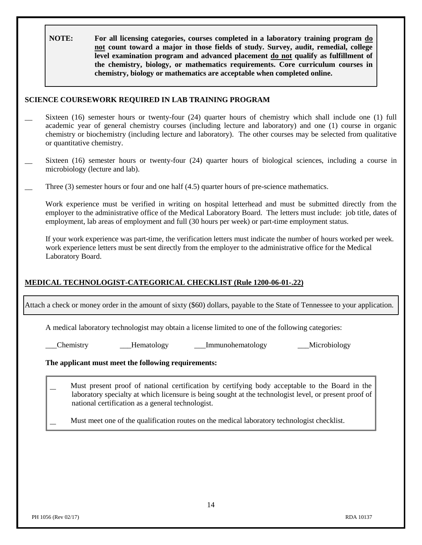**NOTE: For all licensing categories, courses completed in a laboratory training program do not count toward a major in those fields of study. Survey, audit, remedial, college level examination program and advanced placement do not qualify as fulfillment of the chemistry, biology, or mathematics requirements. Core curriculum courses in chemistry, biology or mathematics are acceptable when completed online.**

#### **SCIENCE COURSEWORK REQUIRED IN LAB TRAINING PROGRAM**

- Sixteen (16) semester hours or twenty-four (24) quarter hours of chemistry which shall include one (1) full academic year of general chemistry courses (including lecture and laboratory) and one (1) course in organic chemistry or biochemistry (including lecture and laboratory). The other courses may be selected from qualitative or quantitative chemistry.
- Sixteen (16) semester hours or twenty-four (24) quarter hours of biological sciences, including a course in microbiology (lecture and lab).
- Three (3) semester hours or four and one half (4.5) quarter hours of pre-science mathematics.

Work experience must be verified in writing on hospital letterhead and must be submitted directly from the employer to the administrative office of the Medical Laboratory Board. The letters must include: job title, dates of employment, lab areas of employment and full (30 hours per week) or part-time employment status.

If your work experience was part-time, the verification letters must indicate the number of hours worked per week. work experience letters must be sent directly from the employer to the administrative office for the Medical Laboratory Board.

#### **MEDICAL TECHNOLOGIST-CATEGORICAL CHECKLIST (Rule 1200-06-01-.22)**

Attach a check or money order in the amount of sixty (\$60) dollars, payable to the State of Tennessee to your application.

A medical laboratory technologist may obtain a license limited to one of the following categories:

\_\_\_Chemistry \_\_\_Hematology \_\_\_Immunohematology \_\_\_Microbiology

#### **The applicant must meet the following requirements:**

- Must present proof of national certification by certifying body acceptable to the Board in the laboratory specialty at which licensure is being sought at the technologist level, or present proof of national certification as a general technologist.
	- Must meet one of the qualification routes on the medical laboratory technologist checklist.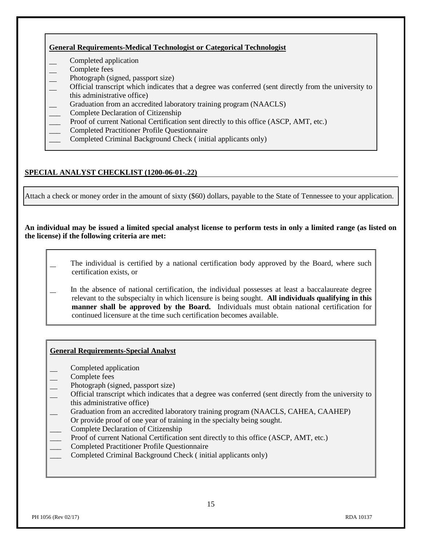#### **General Requirements-Medical Technologist or Categorical Technologist**

- Completed application
- Complete fees
- Photograph (signed, passport size)
- Official transcript which indicates that a degree was conferred (sent directly from the university to this administrative office)
- Graduation from an accredited laboratory training program (NAACLS)
- \_\_\_ Complete Declaration of Citizenship
- Proof of current National Certification sent directly to this office (ASCP, AMT, etc.)
- \_\_\_ Completed Practitioner Profile Questionnaire
- \_\_\_ Completed Criminal Background Check ( initial applicants only)

### **SPECIAL ANALYST CHECKLIST (1200-06-01-.22)**

Attach a check or money order in the amount of sixty (\$60) dollars, payable to the State of Tennessee to your application.

#### **An individual may be issued a limited special analyst license to perform tests in only a limited range (as listed on the license) if the following criteria are met:**

- The individual is certified by a national certification body approved by the Board, where such certification exists, or
- In the absence of national certification, the individual possesses at least a baccalaureate degree relevant to the subspecialty in which licensure is being sought. **All individuals qualifying in this manner shall be approved by the Board.** Individuals must obtain national certification for continued licensure at the time such certification becomes available.

#### **General Requirements-Special Analyst**

- Completed application
- Complete fees
- Photograph (signed, passport size)
- Official transcript which indicates that a degree was conferred (sent directly from the university to this administrative office)
- \_\_ Graduation from an accredited laboratory training program (NAACLS, CAHEA, CAAHEP)
- Or provide proof of one year of training in the specialty being sought.
- \_\_\_ Complete Declaration of Citizenship
- Proof of current National Certification sent directly to this office (ASCP, AMT, etc.)
- \_\_\_ Completed Practitioner Profile Questionnaire
- \_\_\_ Completed Criminal Background Check ( initial applicants only)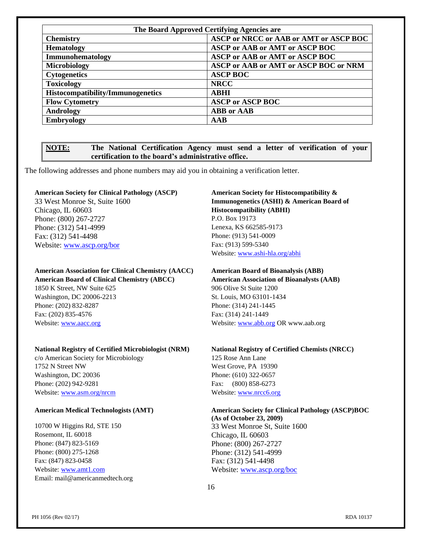| The Board Approved Certifying Agencies are |                                        |  |  |  |
|--------------------------------------------|----------------------------------------|--|--|--|
| <b>Chemistry</b>                           | ASCP or NRCC or AAB or AMT or ASCP BOC |  |  |  |
| <b>Hematology</b>                          | <b>ASCP or AAB or AMT or ASCP BOC</b>  |  |  |  |
| Immunohematology                           | <b>ASCP or AAB or AMT or ASCP BOC</b>  |  |  |  |
| <b>Microbiology</b>                        | ASCP or AAB or AMT or ASCP BOC or NRM  |  |  |  |
| <b>Cytogenetics</b>                        | <b>ASCP BOC</b>                        |  |  |  |
| <b>Toxicology</b>                          | <b>NRCC</b>                            |  |  |  |
| Histocompatibility/Immunogenetics          | ABHI                                   |  |  |  |
| <b>Flow Cytometry</b>                      | <b>ASCP or ASCP BOC</b>                |  |  |  |
| Andrology                                  | <b>ABB</b> or <b>AAB</b>               |  |  |  |
| <b>Embryology</b>                          | AAB                                    |  |  |  |

#### **NOTE: The National Certification Agency must send a letter of verification of your certification to the board's administrative office.**

The following addresses and phone numbers may aid you in obtaining a verification letter.

#### **American Society for Clinical Pathology (ASCP) American Society for Histocompatibility &**

Chicago, IL 60603 **Histocompatibility (ABHI)** Phone: (800) 267-2727 P.O. Box 19173 Phone: (312) 541-4999 Lenexa, KS 662585-9173 Fax: (312) 541-4498 Phone: (913) 541-0009 Website: [www.ascp.org/bor](http://www.ascp.org/bor) Fax: (913) 599-5340

## **American Association for Clinical Chemistry (AACC) American Board of Bioanalysis (ABB)**

1850 K Street, NW Suite 625 906 Olive St Suite 1200 Washington, DC 20006-2213 St. Louis, MO 63101-1434 Phone: (202) 832-8287 Phone: (314) 241-1445 Fax: (202) 835-4576 Fax: (314) 241-1449

#### **National Registry of Certified Microbiologist (NRM) National Registry of Certified Chemists (NRCC)**

c/o American Society for Microbiology 125 Rose Ann Lane 1752 N Street NW West Grove, PA 19390 Washington, DC 20036 Phone: (610) 322-0657 Phone: (202) 942-9281 Fax: (800) 858-6273 Website: [www.asm.org/nrcm](http://www.asm.org/nrcm) Website: [www.nrcc6.org](http://www.nrcc6.org/)

10700 W Higgins Rd, STE 150 33 West Monroe St, Suite 1600 Rosemont, IL 60018 Chicago, IL 60603 Phone: (847) 823-5169 Phone: (800) 267-2727 Phone: (800) 275-1268 **Phone: (800)** 275-1268 **Phone: (800)** 275-1268 Fax: (847) 823-0458 Fax: (312) 541-4498 Website: [www.amt1.com](http://www.amt1.com/) Website[: www.ascp.org/boc](http://www.ascp.org/boc) Email: mail@americanmedtech.org

# 33 West Monroe St, Suite 1600 **Immunogenetics (ASHI) & American Board of**

Website: [www.ashi-hla.org/abhi](http://www.ashi-hla.org/abhi)

**American Board of Clinical Chemistry (ABCC) American Association of Bioanalysts (AAB)** Website: [www.aacc.org](http://www.aacc.org/) Website: [www.abb.org](http://www.abb.org/) OR www.aab.org

**American Medical Technologists (AMT) American Society for Clinical Pathology (ASCP)BOC (As of October 23, 2009)**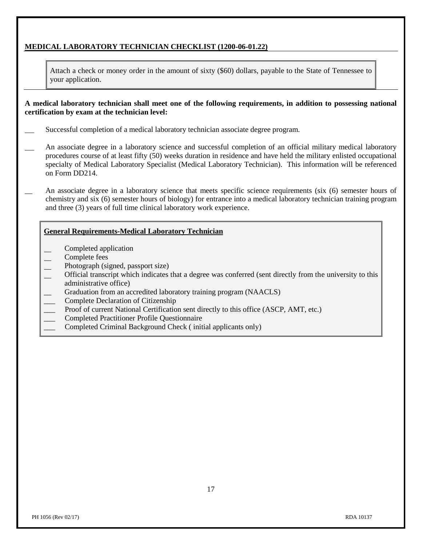#### **MEDICAL LABORATORY TECHNICIAN CHECKLIST (1200-06-01.22)**

Attach a check or money order in the amount of sixty (\$60) dollars, payable to the State of Tennessee to your application.

**A medical laboratory technician shall meet one of the following requirements, in addition to possessing national certification by exam at the technician level:**

- Successful completion of a medical laboratory technician associate degree program.
- An associate degree in a laboratory science and successful completion of an official military medical laboratory procedures course of at least fifty (50) weeks duration in residence and have held the military enlisted occupational specialty of Medical Laboratory Specialist (Medical Laboratory Technician). This information will be referenced on Form DD214.
	- An associate degree in a laboratory science that meets specific science requirements (six (6) semester hours of chemistry and six (6) semester hours of biology) for entrance into a medical laboratory technician training program and three (3) years of full time clinical laboratory work experience.

#### **General Requirements-Medical Laboratory Technician**

- Completed application
- Complete fees
- Photograph (signed, passport size)
- Official transcript which indicates that a degree was conferred (sent directly from the university to this administrative office)
- Graduation from an accredited laboratory training program (NAACLS)
- \_\_\_ Complete Declaration of Citizenship
- Proof of current National Certification sent directly to this office (ASCP, AMT, etc.)
- \_\_\_ Completed Practitioner Profile Questionnaire
- \_\_\_ Completed Criminal Background Check ( initial applicants only)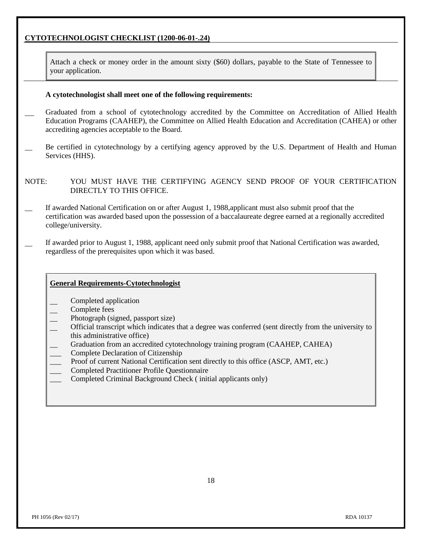### **CYTOTECHNOLOGIST CHECKLIST (1200-06-01-.24)**

Attach a check or money order in the amount sixty (\$60) dollars, payable to the State of Tennessee to your application.

#### **A cytotechnologist shall meet one of the following requirements:**

- Graduated from a school of cytotechnology accredited by the Committee on Accreditation of Allied Health Education Programs (CAAHEP), the Committee on Allied Health Education and Accreditation (CAHEA) or other accrediting agencies acceptable to the Board.
- Be certified in cytotechnology by a certifying agency approved by the U.S. Department of Health and Human Services (HHS).

NOTE: YOU MUST HAVE THE CERTIFYING AGENCY SEND PROOF OF YOUR CERTIFICATION DIRECTLY TO THIS OFFICE.

- If awarded National Certification on or after August 1, 1988,applicant must also submit proof that the certification was awarded based upon the possession of a baccalaureate degree earned at a regionally accredited college/university.
- If awarded prior to August 1, 1988, applicant need only submit proof that National Certification was awarded, regardless of the prerequisites upon which it was based.

#### **General Requirements-Cytotechnologist**

- Completed application
- Complete fees
- Photograph (signed, passport size)
- Official transcript which indicates that a degree was conferred (sent directly from the university to this administrative office)
- Graduation from an accredited cytotechnology training program (CAAHEP, CAHEA)
- \_\_\_ Complete Declaration of Citizenship
- Proof of current National Certification sent directly to this office (ASCP, AMT, etc.)
- \_\_\_ Completed Practitioner Profile Questionnaire
- \_\_\_ Completed Criminal Background Check ( initial applicants only)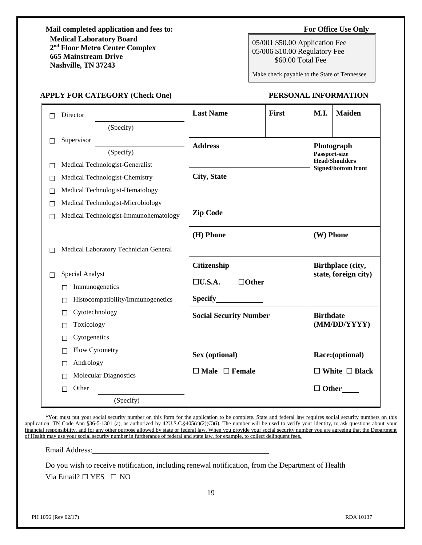**Mail completed application and fees to: For Office Use Only Medical Laboratory Board 2 nd Floor Metro Center Complex 665 Mainstream Drive Nashville, TN 37243**

05/001 \$50.00 Application Fee 05/006 \$10.00 Regulatory Fee \$60.00 Total Fee

Make check payable to the State of Tennessee

#### **APPLY FOR CATEGORY (Check One) PERSONAL INFORMATION**

|   | Director                               | <b>Last Name</b>              | First | M.I.                                      | <b>Maiden</b>                                       |
|---|----------------------------------------|-------------------------------|-------|-------------------------------------------|-----------------------------------------------------|
|   | (Specify)                              |                               |       |                                           |                                                     |
| П | Supervisor                             | <b>Address</b>                |       |                                           | Photograph                                          |
|   | (Specify)                              |                               |       | Passport-size                             |                                                     |
| П | Medical Technologist-Generalist        |                               |       |                                           | <b>Head/Shoulders</b><br><b>Signed/bottom front</b> |
| П | Medical Technologist-Chemistry         | City, State                   |       |                                           |                                                     |
| ш | Medical Technologist-Hematology        |                               |       |                                           |                                                     |
| П | Medical Technologist-Microbiology      |                               |       |                                           |                                                     |
| П | Medical Technologist-Immunohematology  | <b>Zip Code</b>               |       |                                           |                                                     |
|   |                                        | (H) Phone                     |       | (W) Phone                                 |                                                     |
| П | Medical Laboratory Technician General  |                               |       |                                           |                                                     |
| ш | Special Analyst                        | Citizenship                   |       | Birthplace (city,<br>state, foreign city) |                                                     |
|   | Immunogenetics                         | $\Box U.S.A.$<br>$\Box$ Other |       |                                           |                                                     |
|   | Histocompatibility/Immunogenetics<br>П | Specify                       |       |                                           |                                                     |
|   | Cytotechnology<br>П                    | <b>Social Security Number</b> |       | <b>Birthdate</b>                          |                                                     |
|   | Toxicology<br>П                        |                               |       |                                           | (MM/DD/YYYY)                                        |
|   | Cytogenetics<br>Г                      |                               |       |                                           |                                                     |
|   | Flow Cytometry<br>П                    | Sex (optional)                |       |                                           | Race:(optional)                                     |
|   | Andrology<br>П                         |                               |       |                                           |                                                     |
|   | <b>Molecular Diagnostics</b>           | $\Box$ Male $\Box$ Female     |       |                                           | $\Box$ White $\Box$ Black                           |
|   | Other<br>$\Box$                        |                               |       | $\Box$ Other                              |                                                     |
|   | (Specify)                              |                               |       |                                           |                                                     |

\*You must put your social security number on this form for the application to be complete. State and federal law requires social security numbers on this application. TN Code Ann §36-5-1301 (a), as authorized by 42U.S.C.§405(c)(2)(C)(i). The number will be used to verify your identity, to ask questions about your financial responsibility, and for any other purpose allowed by state or federal law. When you provide your social security number you are agreeing that the Department of Health may use your social security number in furtherance of federal and state law, for example, to collect delinquent fees.

Email Address:

Do you wish to receive notification, including renewal notification, from the Department of Health Via Email? □ YES □ NO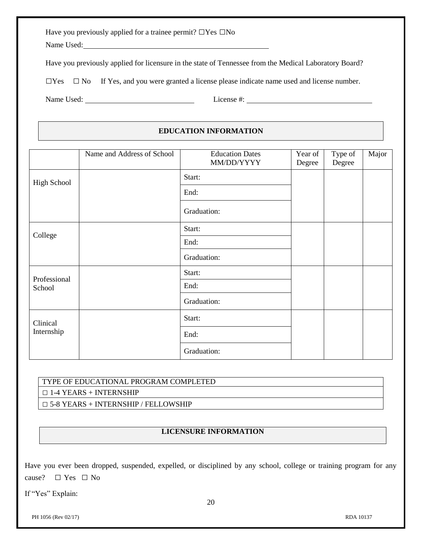|  | Have you previously applied for a trainee permit? $\Box$ Yes $\Box$ No |  |  |
|--|------------------------------------------------------------------------|--|--|
|  |                                                                        |  |  |

Name Used:

Have you previously applied for licensure in the state of Tennessee from the Medical Laboratory Board?

 $\square$  Yes  $\square$  No If Yes, and you were granted a license please indicate name used and license number.

Name Used: License #:

### **EDUCATION INFORMATION**

|              | Name and Address of School | <b>Education Dates</b><br>MM/DD/YYYY | Year of<br>Degree | Type of<br>Degree | Major |
|--------------|----------------------------|--------------------------------------|-------------------|-------------------|-------|
| High School  |                            | Start:                               |                   |                   |       |
|              |                            | End:                                 |                   |                   |       |
|              |                            | Graduation:                          |                   |                   |       |
| College      |                            | Start:                               |                   |                   |       |
|              |                            | End:                                 |                   |                   |       |
|              |                            | Graduation:                          |                   |                   |       |
| Professional |                            | Start:                               |                   |                   |       |
| School       |                            | End:                                 |                   |                   |       |
|              |                            | Graduation:                          |                   |                   |       |
| Clinical     |                            | Start:                               |                   |                   |       |
| Internship   |                            | End:                                 |                   |                   |       |
|              |                            | Graduation:                          |                   |                   |       |

# TYPE OF EDUCATIONAL PROGRAM COMPLETED

 $\Box$  1-4 YEARS + INTERNSHIP

□ 5-8 YEARS + INTERNSHIP / FELLOWSHIP

### **LICENSURE INFORMATION**

Have you ever been dropped, suspended, expelled, or disciplined by any school, college or training program for any cause?  $\square$  Yes  $\square$  No

If "Yes" Explain:

PH 1056 (Rev 02/17) RDA 10137

20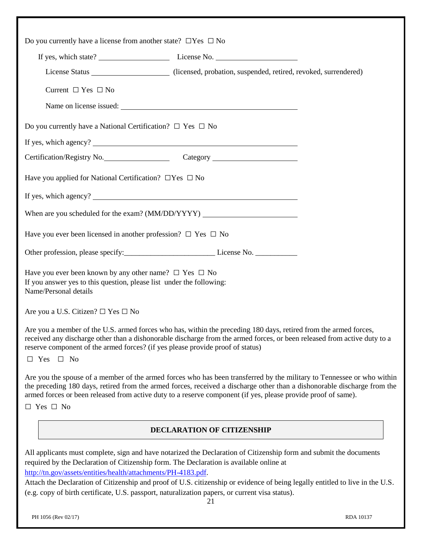| Do you currently have a license from another state? $\Box$ Yes $\Box$ No                                                                                                                                                                                                                                                                                                                                                                                                                                                 |
|--------------------------------------------------------------------------------------------------------------------------------------------------------------------------------------------------------------------------------------------------------------------------------------------------------------------------------------------------------------------------------------------------------------------------------------------------------------------------------------------------------------------------|
|                                                                                                                                                                                                                                                                                                                                                                                                                                                                                                                          |
| License Status ______________________ (licensed, probation, suspended, retired, revoked, surrendered)                                                                                                                                                                                                                                                                                                                                                                                                                    |
| Current $\Box$ Yes $\Box$ No                                                                                                                                                                                                                                                                                                                                                                                                                                                                                             |
|                                                                                                                                                                                                                                                                                                                                                                                                                                                                                                                          |
| Do you currently have a National Certification? $\Box$ Yes $\Box$ No                                                                                                                                                                                                                                                                                                                                                                                                                                                     |
|                                                                                                                                                                                                                                                                                                                                                                                                                                                                                                                          |
| Certification/Registry No. Category Category                                                                                                                                                                                                                                                                                                                                                                                                                                                                             |
| Have you applied for National Certification? $\Box$ Yes $\Box$ No                                                                                                                                                                                                                                                                                                                                                                                                                                                        |
|                                                                                                                                                                                                                                                                                                                                                                                                                                                                                                                          |
| When are you scheduled for the exam? (MM/DD/YYYY) _______________________________                                                                                                                                                                                                                                                                                                                                                                                                                                        |
| Have you ever been licensed in another profession? $\Box$ Yes $\Box$ No                                                                                                                                                                                                                                                                                                                                                                                                                                                  |
|                                                                                                                                                                                                                                                                                                                                                                                                                                                                                                                          |
| Have you ever been known by any other name? $\Box$ Yes $\Box$ No<br>If you answer yes to this question, please list under the following:<br>Name/Personal details                                                                                                                                                                                                                                                                                                                                                        |
| Are you a U.S. Citizen? $\square$ Yes $\square$ No                                                                                                                                                                                                                                                                                                                                                                                                                                                                       |
| Are you a member of the U.S. armed forces who has, within the preceding 180 days, retired from the armed forces,<br>received any discharge other than a dishonorable discharge from the armed forces, or been released from active duty to a<br>reserve component of the armed forces? (if yes please provide proof of status)                                                                                                                                                                                           |
| $\Box$ Yes $\Box$ No                                                                                                                                                                                                                                                                                                                                                                                                                                                                                                     |
| Are you the spouse of a member of the armed forces who has been transferred by the military to Tennessee or who within<br>the preceding 180 days, retired from the armed forces, received a discharge other than a dishonorable discharge from the<br>armed forces or been released from active duty to a reserve component (if yes, please provide proof of same).                                                                                                                                                      |
| $\Box$ Yes $\Box$ No                                                                                                                                                                                                                                                                                                                                                                                                                                                                                                     |
| <b>DECLARATION OF CITIZENSHIP</b>                                                                                                                                                                                                                                                                                                                                                                                                                                                                                        |
| All applicants must complete, sign and have notarized the Declaration of Citizenship form and submit the documents<br>required by the Declaration of Citizenship form. The Declaration is available online at<br>http://tn.gov/assets/entities/health/attachments/PH-4183.pdf.<br>Attach the Declaration of Citizenship and proof of U.S. citizenship or evidence of being legally entitled to live in the U.S.<br>(e.g. copy of birth certificate, U.S. passport, naturalization papers, or current visa status).<br>21 |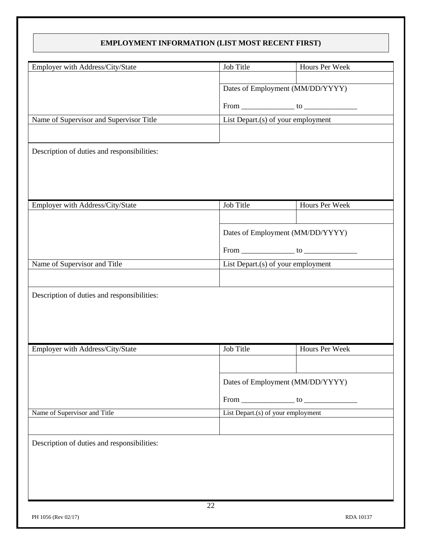### **EMPLOYMENT INFORMATION (LIST MOST RECENT FIRST)**

| Employer with Address/City/State            | Job Title                          | Hours Per Week |
|---------------------------------------------|------------------------------------|----------------|
|                                             |                                    |                |
|                                             | Dates of Employment (MM/DD/YYYY)   |                |
|                                             | $From \_ to \_ to \_$              |                |
| Name of Supervisor and Supervisor Title     | List Depart.(s) of your employment |                |
|                                             |                                    |                |
| Description of duties and responsibilities: |                                    |                |
|                                             |                                    |                |
|                                             |                                    |                |
|                                             |                                    |                |
| Employer with Address/City/State            | Job Title                          | Hours Per Week |
|                                             |                                    |                |
|                                             | Dates of Employment (MM/DD/YYYY)   |                |
|                                             |                                    |                |
|                                             |                                    |                |
| Name of Supervisor and Title                | List Depart.(s) of your employment |                |
|                                             |                                    |                |
| Description of duties and responsibilities: |                                    |                |
|                                             |                                    |                |
|                                             |                                    |                |
|                                             |                                    |                |
| Employer with Address/City/State            | Job Title                          | Hours Per Week |
|                                             |                                    |                |
|                                             | Dates of Employment (MM/DD/YYYY)   |                |
|                                             | $From \_\_\_\_ to \_\_\_\_$        |                |
| Name of Supervisor and Title                | List Depart.(s) of your employment |                |
|                                             |                                    |                |
|                                             |                                    |                |
| Description of duties and responsibilities: |                                    |                |
|                                             |                                    |                |
|                                             |                                    |                |
|                                             |                                    |                |
| 22                                          |                                    |                |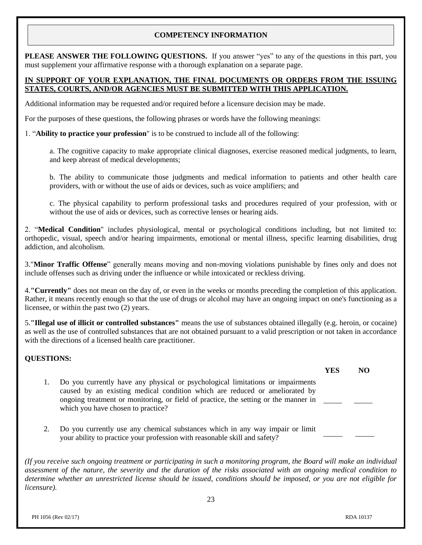#### **COMPETENCY INFORMATION**

**PLEASE ANSWER THE FOLLOWING QUESTIONS.** If you answer "yes" to any of the questions in this part, you must supplement your affirmative response with a thorough explanation on a separate page.

#### **IN SUPPORT OF YOUR EXPLANATION, THE FINAL DOCUMENTS OR ORDERS FROM THE ISSUING STATES, COURTS, AND/OR AGENCIES MUST BE SUBMITTED WITH THIS APPLICATION.**

Additional information may be requested and/or required before a licensure decision may be made.

For the purposes of these questions, the following phrases or words have the following meanings:

1. "**Ability to practice your profession**" is to be construed to include all of the following:

a. The cognitive capacity to make appropriate clinical diagnoses, exercise reasoned medical judgments, to learn, and keep abreast of medical developments;

b. The ability to communicate those judgments and medical information to patients and other health care providers, with or without the use of aids or devices, such as voice amplifiers; and

c. The physical capability to perform professional tasks and procedures required of your profession, with or without the use of aids or devices, such as corrective lenses or hearing aids.

2. "**Medical Condition**" includes physiological, mental or psychological conditions including, but not limited to: orthopedic, visual, speech and/or hearing impairments, emotional or mental illness, specific learning disabilities, drug addiction, and alcoholism.

3."**Minor Traffic Offense**" generally means moving and non-moving violations punishable by fines only and does not include offenses such as driving under the influence or while intoxicated or reckless driving.

4.**"Currently"** does not mean on the day of, or even in the weeks or months preceding the completion of this application. Rather, it means recently enough so that the use of drugs or alcohol may have an ongoing impact on one's functioning as a licensee, or within the past two (2) years.

5.**"Illegal use of illicit or controlled substances"** means the use of substances obtained illegally (e.g. heroin, or cocaine) as well as the use of controlled substances that are not obtained pursuant to a valid prescription or not taken in accordance with the directions of a licensed health care practitioner.

#### **QUESTIONS:**

- **YES NO** 1. Do you currently have any physical or psychological limitations or impairments caused by an existing medical condition which are reduced or ameliorated by ongoing treatment or monitoring, or field of practice, the setting or the manner in which you have chosen to practice?
- 2. Do you currently use any chemical substances which in any way impair or limit your ability to practice your profession with reasonable skill and safety?

*(If you receive such ongoing treatment or participating in such a monitoring program, the Board will make an individual assessment of the nature, the severity and the duration of the risks associated with an ongoing medical condition to determine whether an unrestricted license should be issued, conditions should be imposed, or you are not eligible for licensure).*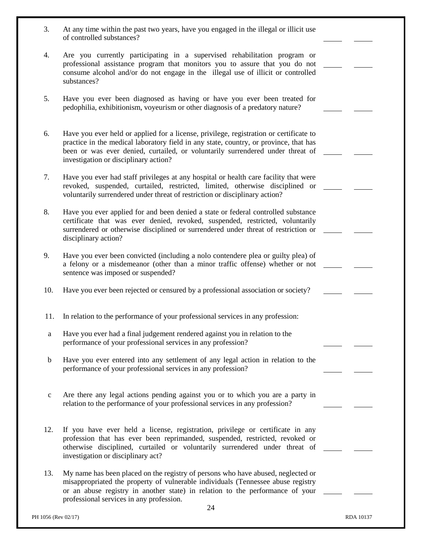| 3.          | At any time within the past two years, have you engaged in the illegal or illicit use<br>of controlled substances?                                                                                                                                                                                         |  |
|-------------|------------------------------------------------------------------------------------------------------------------------------------------------------------------------------------------------------------------------------------------------------------------------------------------------------------|--|
| 4.          | Are you currently participating in a supervised rehabilitation program or                                                                                                                                                                                                                                  |  |
|             | professional assistance program that monitors you to assure that you do not<br>consume alcohol and/or do not engage in the illegal use of illicit or controlled<br>substances?                                                                                                                             |  |
| 5.          | Have you ever been diagnosed as having or have you ever been treated for<br>pedophilia, exhibitionism, voyeurism or other diagnosis of a predatory nature?                                                                                                                                                 |  |
| 6.          | Have you ever held or applied for a license, privilege, registration or certificate to<br>practice in the medical laboratory field in any state, country, or province, that has<br>been or was ever denied, curtailed, or voluntarily surrendered under threat of<br>investigation or disciplinary action? |  |
| 7.          | Have you ever had staff privileges at any hospital or health care facility that were<br>revoked, suspended, curtailed, restricted, limited, otherwise disciplined or<br>voluntarily surrendered under threat of restriction or disciplinary action?                                                        |  |
| 8.          | Have you ever applied for and been denied a state or federal controlled substance<br>certificate that was ever denied, revoked, suspended, restricted, voluntarily<br>surrendered or otherwise disciplined or surrendered under threat of restriction or<br>disciplinary action?                           |  |
| 9.          | Have you ever been convicted (including a nolo contendere plea or guilty plea) of<br>a felony or a misdemeanor (other than a minor traffic offense) whether or not<br>sentence was imposed or suspended?                                                                                                   |  |
| 10.         | Have you ever been rejected or censured by a professional association or society?                                                                                                                                                                                                                          |  |
| 11.         | In relation to the performance of your professional services in any profession:                                                                                                                                                                                                                            |  |
| a           | Have you ever had a final judgement rendered against you in relation to the<br>performance of your professional services in any profession?                                                                                                                                                                |  |
| $\mathbf b$ | Have you ever entered into any settlement of any legal action in relation to the<br>performance of your professional services in any profession?                                                                                                                                                           |  |
| $\mathbf c$ | Are there any legal actions pending against you or to which you are a party in<br>relation to the performance of your professional services in any profession?                                                                                                                                             |  |
| 12.         | If you have ever held a license, registration, privilege or certificate in any<br>profession that has ever been reprimanded, suspended, restricted, revoked or<br>otherwise disciplined, curtailed or voluntarily surrendered under threat of<br>investigation or disciplinary act?                        |  |
| 13.         | My name has been placed on the registry of persons who have abused, neglected or<br>misappropriated the property of vulnerable individuals (Tennessee abuse registry<br>or an abuse registry in another state) in relation to the performance of your<br>professional services in any profession.<br>24    |  |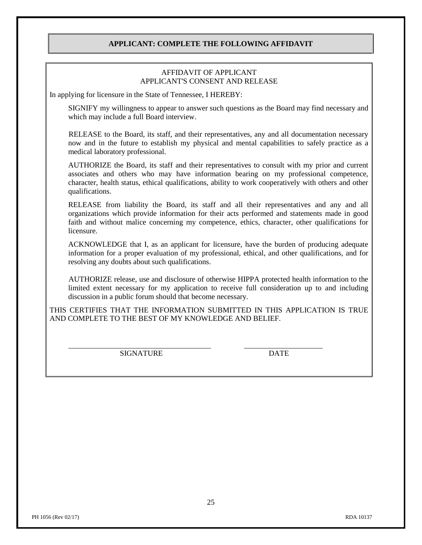#### **APPLICANT: COMPLETE THE FOLLOWING AFFIDAVIT**

#### AFFIDAVIT OF APPLICANT APPLICANT'S CONSENT AND RELEASE

In applying for licensure in the State of Tennessee, I HEREBY:

SIGNIFY my willingness to appear to answer such questions as the Board may find necessary and which may include a full Board interview.

 RELEASE to the Board, its staff, and their representatives, any and all documentation necessary now and in the future to establish my physical and mental capabilities to safely practice as a medical laboratory professional.

AUTHORIZE the Board, its staff and their representatives to consult with my prior and current associates and others who may have information bearing on my professional competence, character, health status, ethical qualifications, ability to work cooperatively with others and other qualifications.

RELEASE from liability the Board, its staff and all their representatives and any and all organizations which provide information for their acts performed and statements made in good faith and without malice concerning my competence, ethics, character, other qualifications for licensure.

ACKNOWLEDGE that I, as an applicant for licensure, have the burden of producing adequate information for a proper evaluation of my professional, ethical, and other qualifications, and for resolving any doubts about such qualifications.

 AUTHORIZE release, use and disclosure of otherwise HIPPA protected health information to the limited extent necessary for my application to receive full consideration up to and including discussion in a public forum should that become necessary.

THIS CERTIFIES THAT THE INFORMATION SUBMITTED IN THIS APPLICATION IS TRUE AND COMPLETE TO THE BEST OF MY KNOWLEDGE AND BELIEF.

SIGNATURE DATE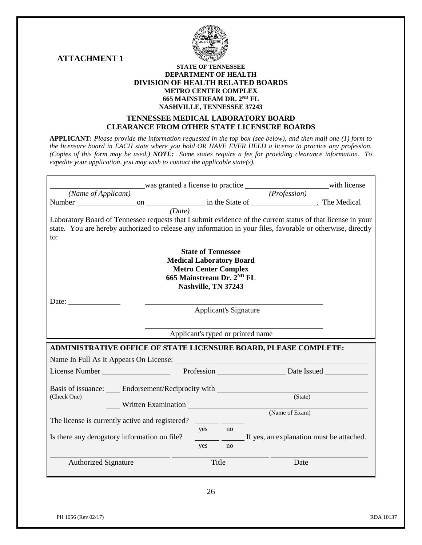**ATTACHMENT 1**



#### **STATE OF TENNESSEE DEPARTMENT OF HEALTH DIVISION OF HEALTH RELATED BOARDS METRO CENTER COMPLEX 665 MAINSTREAM DR. 2ND FL NASHVILLE, TENNESSEE 37243**

#### **TENNESSEE MEDICAL LABORATORY BOARD CLEARANCE FROM OTHER STATE LICENSURE BOARDS**

**APPLICANT:** *Please provide the information requested in the top box (see below), and then mail one (1) form to the licensure board in EACH state where you hold OR HAVE EVER HELD a license to practice any profession. (Copies of this form may be used.) NOTE: Some states require a fee for providing clearance information. To expedite your application, you may wish to contact the applicable state(s).* 

|                                                                                                                                                                                                                                               | was granted a license to practice with license |              |                                          |  |  |
|-----------------------------------------------------------------------------------------------------------------------------------------------------------------------------------------------------------------------------------------------|------------------------------------------------|--------------|------------------------------------------|--|--|
| (Name of Applicant)                                                                                                                                                                                                                           |                                                | (Profession) |                                          |  |  |
|                                                                                                                                                                                                                                               |                                                |              |                                          |  |  |
| (Date)                                                                                                                                                                                                                                        |                                                |              |                                          |  |  |
| Laboratory Board of Tennessee requests that I submit evidence of the current status of that license in your<br>state. You are hereby authorized to release any information in your files, favorable or otherwise, directly<br>$\mathsf{to}$ : |                                                |              |                                          |  |  |
|                                                                                                                                                                                                                                               | <b>State of Tennessee</b>                      |              |                                          |  |  |
|                                                                                                                                                                                                                                               | <b>Medical Laboratory Board</b>                |              |                                          |  |  |
|                                                                                                                                                                                                                                               | <b>Metro Center Complex</b>                    |              |                                          |  |  |
|                                                                                                                                                                                                                                               | 665 Mainstream Dr. 2 <sup>ND</sup> FL          |              |                                          |  |  |
|                                                                                                                                                                                                                                               | Nashville, TN 37243                            |              |                                          |  |  |
| Date: $\frac{\qquad \qquad }{\qquad \qquad }$                                                                                                                                                                                                 |                                                |              |                                          |  |  |
|                                                                                                                                                                                                                                               | <b>Applicant's Signature</b>                   |              |                                          |  |  |
|                                                                                                                                                                                                                                               |                                                |              |                                          |  |  |
|                                                                                                                                                                                                                                               |                                                |              | Applicant's typed or printed name        |  |  |
|                                                                                                                                                                                                                                               |                                                |              |                                          |  |  |
| ADMINISTRATIVE OFFICE OF STATE LICENSURE BOARD, PLEASE COMPLETE:                                                                                                                                                                              |                                                |              |                                          |  |  |
|                                                                                                                                                                                                                                               |                                                |              |                                          |  |  |
| License Number Profession Date Issued                                                                                                                                                                                                         |                                                |              |                                          |  |  |
|                                                                                                                                                                                                                                               |                                                |              |                                          |  |  |
| Basis of issuance: <u>Communications</u> Endorsement/Reciprocity with                                                                                                                                                                         |                                                |              |                                          |  |  |
| (Check One)                                                                                                                                                                                                                                   |                                                |              | (State)                                  |  |  |
| Written Examination                                                                                                                                                                                                                           |                                                |              | (Name of Exam)                           |  |  |
| The license is currently active and registered?                                                                                                                                                                                               |                                                |              |                                          |  |  |
|                                                                                                                                                                                                                                               | yes no                                         |              |                                          |  |  |
| Is there any derogatory information on file?                                                                                                                                                                                                  |                                                |              | If yes, an explanation must be attached. |  |  |
|                                                                                                                                                                                                                                               | yes                                            | no           |                                          |  |  |
| <b>Authorized Signature</b>                                                                                                                                                                                                                   | Title                                          |              | Date                                     |  |  |
|                                                                                                                                                                                                                                               |                                                |              |                                          |  |  |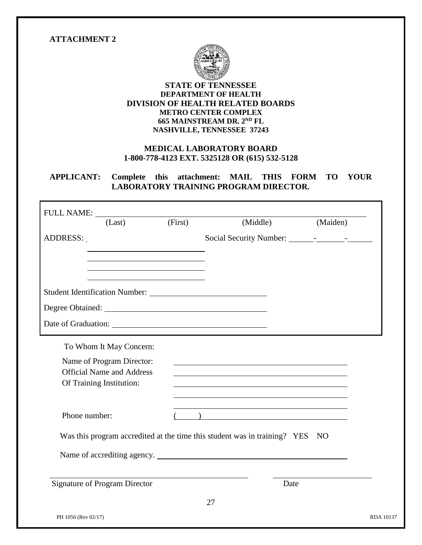#### **ATTACHMENT 2**



#### **STATE OF TENNESSEE DEPARTMENT OF HEALTH DIVISION OF HEALTH RELATED BOARDS METRO CENTER COMPLEX 665 MAINSTREAM DR. 2 ND FL NASHVILLE, TENNESSEE 37243**

### **MEDICAL LABORATORY BOARD 1-800-778-4123 EXT. 5325128 OR (615) 532-5128**

### **APPLICANT: Complete this attachment: MAIL THIS FORM TO YOUR LABORATORY TRAINING PROGRAM DIRECTOR.**

| <b>FULL NAME:</b><br>(Last)                                                                                | (First) | (Middle)                                                                     | (Maiden) |
|------------------------------------------------------------------------------------------------------------|---------|------------------------------------------------------------------------------|----------|
| ADDRESS:                                                                                                   |         |                                                                              |          |
|                                                                                                            |         |                                                                              |          |
|                                                                                                            |         |                                                                              |          |
|                                                                                                            |         |                                                                              |          |
|                                                                                                            |         |                                                                              |          |
| Name of Program Director:<br><b>Official Name and Address</b><br>Of Training Institution:<br>Phone number: |         | ) <u>_________________________</u>                                           |          |
|                                                                                                            |         | Was this program accredited at the time this student was in training? YES NO |          |
|                                                                                                            |         | Name of accrediting agency.                                                  |          |
| <b>Signature of Program Director</b>                                                                       |         | Date                                                                         |          |
|                                                                                                            |         |                                                                              |          |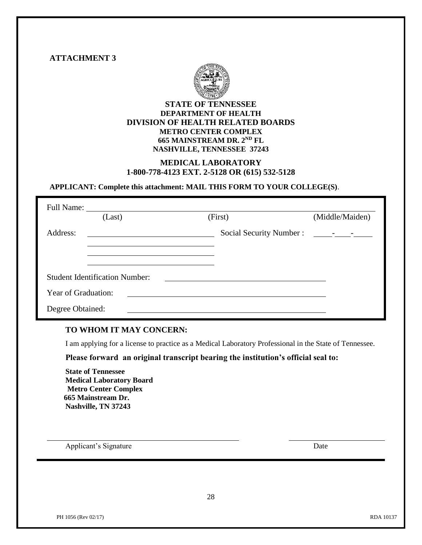

#### **TO WHOM IT MAY CONCERN:**

I am applying for a license to practice as a Medical Laboratory Professional in the State of Tennessee.

**Please forward an original transcript bearing the institution's official seal to:**

**State of Tennessee Medical Laboratory Board Metro Center Complex 665 Mainstream Dr. Nashville, TN 37243**

Applicant's Signature Date